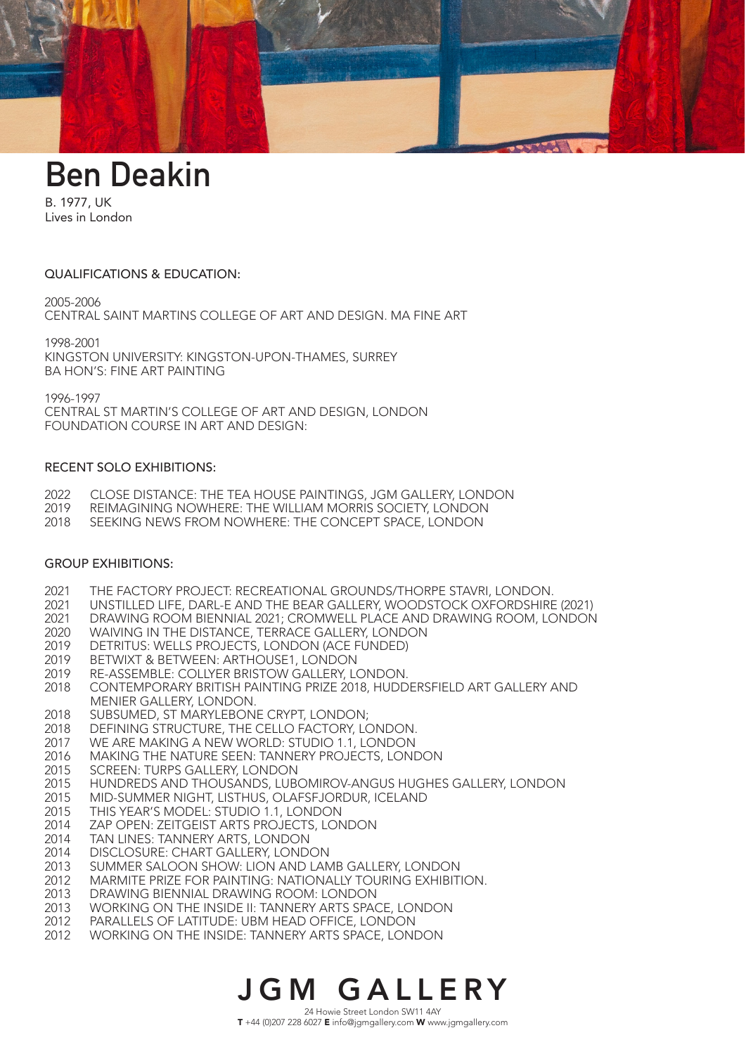

# **Ben Deakin**

B. 1977, UK Lives in London

### QUALIFICATIONS & EDUCATION:

2005-2006

CENTRAL SAINT MARTINS COLLEGE OF ART AND DESIGN. MA FINE ART

1998-2001 KINGSTON UNIVERSITY: KINGSTON-UPON-THAMES, SURREY BA HON'S: FINE ART PAINTING

1996-1997

CENTRAL ST MARTIN'S COLLEGE OF ART AND DESIGN, LONDON FOUNDATION COURSE IN ART AND DESIGN:

#### RECENT SOLO EXHIBITIONS:

- 2022 CLOSE DISTANCE: THE TEA HOUSE PAINTINGS, JGM GALLERY, LONDON
- 2019 REIMAGINING NOWHERE: THE WILLIAM MORRIS SOCIETY, LONDON
- 2018 SEEKING NEWS FROM NOWHERE: THE CONCEPT SPACE, LONDON

## GROUP EXHIBITIONS:

- 2021 THE FACTORY PROJECT: RECREATIONAL GROUNDS/THORPE STAVRI, LONDON.
- 2021 UNSTILLED LIFE, DARL-E AND THE BEAR GALLERY, WOODSTOCK OXFORDSHIRE (2021)
- 2021 DRAWING ROOM BIENNIAL 2021; CROMWELL PLACE AND DRAWING ROOM, LONDON
- 2020 WAIVING IN THE DISTANCE, TERRACE GALLERY, LONDON
- 2019 DETRITUS: WELLS PROJECTS, LONDON (ACE FUNDED)
- 2019 BETWIXT & BETWEEN: ARTHOUSE1, LONDON
- 2019 RE-ASSEMBLE: COLLYER BRISTOW GALLERY, LONDON.
- 2018 CONTEMPORARY BRITISH PAINTING PRIZE 2018, HUDDERSFIELD ART GALLERY AND MENIER GALLERY, LONDON.
- 2018 SUBSUMED, ST MARYLEBONE CRYPT, LONDON;
- 2018 DEFINING STRUCTURE, THE CELLO FACTORY, LONDON.
- 2017 WE ARE MAKING A NEW WORLD: STUDIO 1.1, LONDON
- 2016 MAKING THE NATURE SEEN: TANNERY PROJECTS, LONDON
- 2015 SCREEN: TURPS GALLERY, LONDON
- 2015 HUNDREDS AND THOUSANDS, LUBOMIROV-ANGUS HUGHES GALLERY, LONDON
- 2015 MID-SUMMER NIGHT, LISTHUS, OLAFSFJORDUR, ICELAND
- 2015 THIS YEAR'S MODEL: STUDIO 1.1, LONDON
- 2014 ZAP OPEN: ZEITGEIST ARTS PROJECTS, LONDON
- 2014 TAN LINES: TANNERY ARTS, LONDON
- 2014 DISCLOSURE: CHART GALLERY, LONDON
- 2013 SUMMER SALOON SHOW: LION AND LAMB GALLERY, LONDON
- 2012 MARMITE PRIZE FOR PAINTING: NATIONALLY TOURING EXHIBITION.
- 2013 DRAWING BIENNIAL DRAWING ROOM: LONDON
- 2013 WORKING ON THE INSIDE II: TANNERY ARTS SPACE, LONDON
- 2012 PARALLELS OF LATITUDE: UBM HEAD OFFICE, LONDON
- 2012 WORKING ON THE INSIDE: TANNERY ARTS SPACE, LONDON

# JGM GALLERY